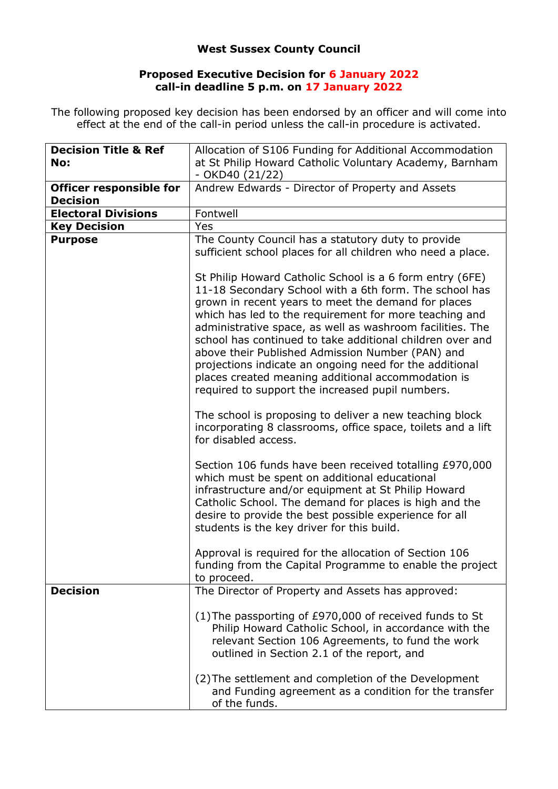## **West Sussex County Council**

## **Proposed Executive Decision for 6 January 2022 call-in deadline 5 p.m. on 17 January 2022**

The following proposed key decision has been endorsed by an officer and will come into effect at the end of the call-in period unless the call-in procedure is activated.

| <b>Decision Title &amp; Ref</b> | Allocation of S106 Funding for Additional Accommodation                                                                                                                                                                                                                                                                                                                                                                                                                                                                                                                                |
|---------------------------------|----------------------------------------------------------------------------------------------------------------------------------------------------------------------------------------------------------------------------------------------------------------------------------------------------------------------------------------------------------------------------------------------------------------------------------------------------------------------------------------------------------------------------------------------------------------------------------------|
| No:                             | at St Philip Howard Catholic Voluntary Academy, Barnham<br>$-$ OKD40 (21/22)                                                                                                                                                                                                                                                                                                                                                                                                                                                                                                           |
| <b>Officer responsible for</b>  | Andrew Edwards - Director of Property and Assets                                                                                                                                                                                                                                                                                                                                                                                                                                                                                                                                       |
| <b>Decision</b>                 |                                                                                                                                                                                                                                                                                                                                                                                                                                                                                                                                                                                        |
| <b>Electoral Divisions</b>      | Fontwell                                                                                                                                                                                                                                                                                                                                                                                                                                                                                                                                                                               |
| <b>Key Decision</b>             | Yes                                                                                                                                                                                                                                                                                                                                                                                                                                                                                                                                                                                    |
| <b>Purpose</b>                  |                                                                                                                                                                                                                                                                                                                                                                                                                                                                                                                                                                                        |
|                                 | The County Council has a statutory duty to provide<br>sufficient school places for all children who need a place.                                                                                                                                                                                                                                                                                                                                                                                                                                                                      |
|                                 | St Philip Howard Catholic School is a 6 form entry (6FE)<br>11-18 Secondary School with a 6th form. The school has<br>grown in recent years to meet the demand for places<br>which has led to the requirement for more teaching and<br>administrative space, as well as washroom facilities. The<br>school has continued to take additional children over and<br>above their Published Admission Number (PAN) and<br>projections indicate an ongoing need for the additional<br>places created meaning additional accommodation is<br>required to support the increased pupil numbers. |
|                                 | The school is proposing to deliver a new teaching block<br>incorporating 8 classrooms, office space, toilets and a lift<br>for disabled access.                                                                                                                                                                                                                                                                                                                                                                                                                                        |
|                                 | Section 106 funds have been received totalling £970,000<br>which must be spent on additional educational<br>infrastructure and/or equipment at St Philip Howard<br>Catholic School. The demand for places is high and the<br>desire to provide the best possible experience for all<br>students is the key driver for this build.                                                                                                                                                                                                                                                      |
|                                 | Approval is required for the allocation of Section 106<br>funding from the Capital Programme to enable the project<br>to proceed.                                                                                                                                                                                                                                                                                                                                                                                                                                                      |
| <b>Decision</b>                 | The Director of Property and Assets has approved:                                                                                                                                                                                                                                                                                                                                                                                                                                                                                                                                      |
|                                 | (1) The passporting of £970,000 of received funds to St<br>Philip Howard Catholic School, in accordance with the<br>relevant Section 106 Agreements, to fund the work<br>outlined in Section 2.1 of the report, and<br>(2) The settlement and completion of the Development                                                                                                                                                                                                                                                                                                            |
|                                 | and Funding agreement as a condition for the transfer<br>of the funds.                                                                                                                                                                                                                                                                                                                                                                                                                                                                                                                 |